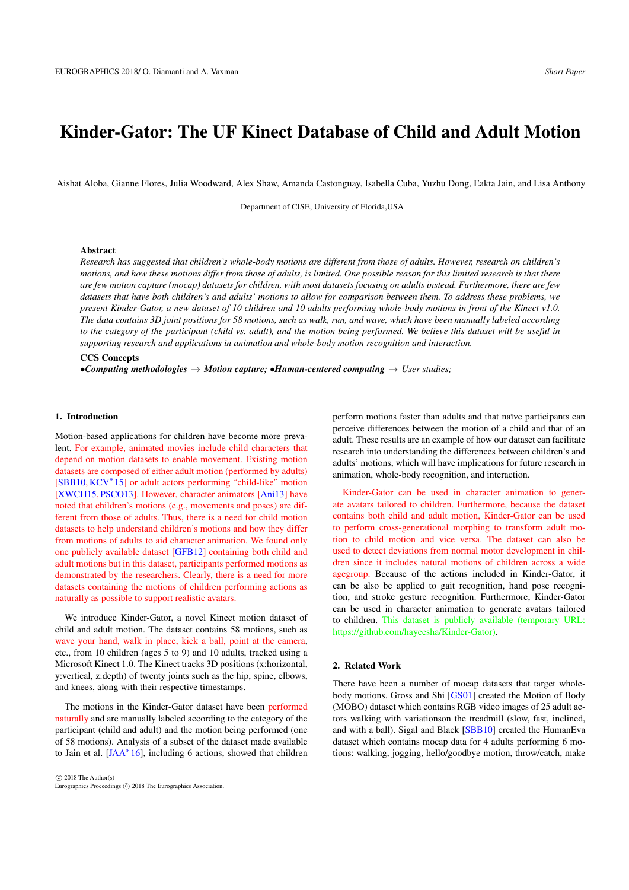# <span id="page-0-0"></span>Kinder-Gator: The UF Kinect Database of Child and Adult Motion

Aishat Aloba, Gianne Flores, Julia Woodward, Alex Shaw, Amanda Castonguay, Isabella Cuba, Yuzhu Dong, Eakta Jain, and Lisa Anthony

Department of CISE, University of Florida,USA

#### Abstract

*Research has suggested that children's whole-body motions are different from those of adults. However, research on children's motions, and how these motions differ from those of adults, is limited. One possible reason for this limited research is that there are few motion capture (mocap) datasets for children, with most datasets focusing on adults instead. Furthermore, there are few datasets that have both children's and adults' motions to allow for comparison between them. To address these problems, we present Kinder-Gator, a new dataset of 10 children and 10 adults performing whole-body motions in front of the Kinect v1.0. The data contains 3D joint positions for 58 motions, such as walk, run, and wave, which have been manually labeled according to the category of the participant (child vs. adult), and the motion being performed. We believe this dataset will be useful in supporting research and applications in animation and whole-body motion recognition and interaction.*

## CCS Concepts

•Computing methodologies  $\rightarrow$  *Motion capture;* •*Human-centered computing*  $\rightarrow$  *User studies;* 

#### 1. Introduction

Motion-based applications for children have become more prevalent. For example, animated movies include child characters that depend on motion datasets to enable movement. Existing motion datasets are composed of either adult motion (performed by adults) [\[SBB10,](#page-4-0) [KCV](#page-3-0)<sup>\*</sup>15] or adult actors performing "child-like" motion [\[XWCH15,](#page-4-1) [PSCO13\]](#page-3-1). However, character animators [\[Ani13\]](#page-3-2) have noted that children's motions (e.g., movements and poses) are different from those of adults. Thus, there is a need for child motion datasets to help understand children's motions and how they differ from motions of adults to aid character animation. We found only one publicly available dataset [\[GFB12\]](#page-3-3) containing both child and adult motions but in this dataset, participants performed motions as demonstrated by the researchers. Clearly, there is a need for more datasets containing the motions of children performing actions as naturally as possible to support realistic avatars.

We introduce Kinder-Gator, a novel Kinect motion dataset of child and adult motion. The dataset contains 58 motions, such as wave your hand, walk in place, kick a ball, point at the camera, etc., from 10 children (ages 5 to 9) and 10 adults, tracked using a Microsoft Kinect 1.0. The Kinect tracks 3D positions (x:horizontal, y:vertical, z:depth) of twenty joints such as the hip, spine, elbows, and knees, along with their respective timestamps.

The motions in the Kinder-Gator dataset have been performed naturally and are manually labeled according to the category of the participant (child and adult) and the motion being performed (one of 58 motions). Analysis of a subset of the dataset made available to Jain et al. [\[JAA](#page-3-4)<sup>\*</sup>16], including 6 actions, showed that children

 c 2018 The Author(s) Eurographics Proceedings (C) 2018 The Eurographics Association perform motions faster than adults and that naïve participants can perceive differences between the motion of a child and that of an adult. These results are an example of how our dataset can facilitate research into understanding the differences between children's and adults' motions, which will have implications for future research in animation, whole-body recognition, and interaction.

Kinder-Gator can be used in character animation to generate avatars tailored to children. Furthermore, because the dataset contains both child and adult motion, Kinder-Gator can be used to perform cross-generational morphing to transform adult motion to child motion and vice versa. The dataset can also be used to detect deviations from normal motor development in children since it includes natural motions of children across a wide agegroup. Because of the actions included in Kinder-Gator, it can be also be applied to gait recognition, hand pose recognition, and stroke gesture recognition. Furthermore, Kinder-Gator can be used in character animation to generate avatars tailored to children. This dataset is publicly available (temporary URL: https://github.com/hayeesha/Kinder-Gator).

#### 2. Related Work

There have been a number of mocap datasets that target whole-body motions. Gross and Shi [\[GS01\]](#page-3-5) created the Motion of Body (MOBO) dataset which contains RGB video images of 25 adult actors walking with variationson the treadmill (slow, fast, inclined, and with a ball). Sigal and Black [\[SBB10\]](#page-4-0) created the HumanEva dataset which contains mocap data for 4 adults performing 6 motions: walking, jogging, hello/goodbye motion, throw/catch, make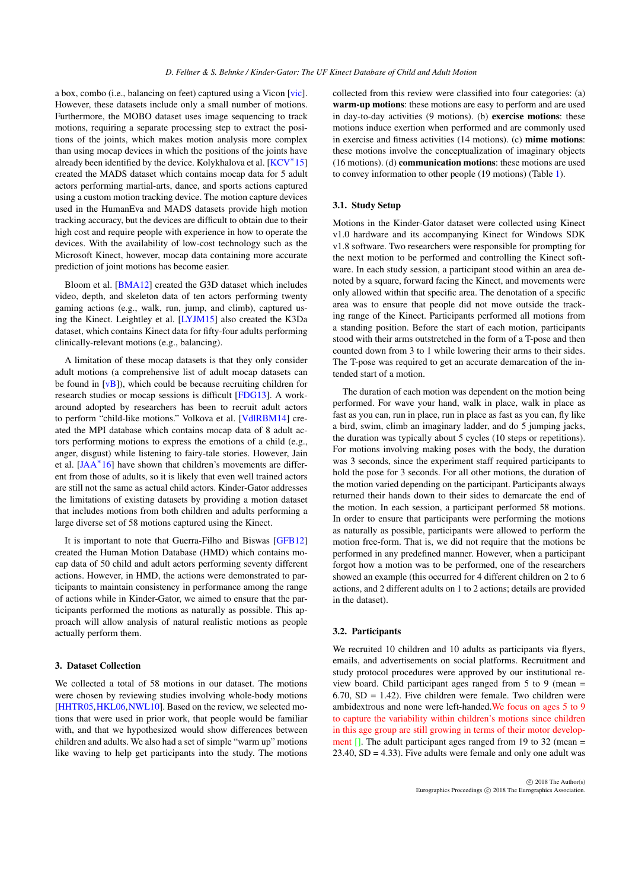<span id="page-1-0"></span>a box, combo (i.e., balancing on feet) captured using a Vicon [\[vic\]](#page-4-2). However, these datasets include only a small number of motions. Furthermore, the MOBO dataset uses image sequencing to track motions, requiring a separate processing step to extract the positions of the joints, which makes motion analysis more complex than using mocap devices in which the positions of the joints have already been identified by the device. Kolykhalova et al. [\[KCV](#page-3-0)<sup>\*</sup>15] created the MADS dataset which contains mocap data for 5 adult actors performing martial-arts, dance, and sports actions captured using a custom motion tracking device. The motion capture devices used in the HumanEva and MADS datasets provide high motion tracking accuracy, but the devices are difficult to obtain due to their high cost and require people with experience in how to operate the devices. With the availability of low-cost technology such as the Microsoft Kinect, however, mocap data containing more accurate prediction of joint motions has become easier.

Bloom et al. [\[BMA12\]](#page-3-6) created the G3D dataset which includes video, depth, and skeleton data of ten actors performing twenty gaming actions (e.g., walk, run, jump, and climb), captured using the Kinect. Leightley et al. [\[LYJM15\]](#page-3-7) also created the K3Da dataset, which contains Kinect data for fifty-four adults performing clinically-relevant motions (e.g., balancing).

A limitation of these mocap datasets is that they only consider adult motions (a comprehensive list of adult mocap datasets can be found in  $[vB]$ ), which could be because recruiting children for research studies or mocap sessions is difficult [\[FDG13\]](#page-3-8). A workaround adopted by researchers has been to recruit adult actors to perform "child-like motions." Volkova et al. [\[VdlRBM14\]](#page-4-4) created the MPI database which contains mocap data of 8 adult actors performing motions to express the emotions of a child (e.g., anger, disgust) while listening to fairy-tale stories. However, Jain et al. [\[JAA](#page-3-4)<sup>\*</sup>16] have shown that children's movements are different from those of adults, so it is likely that even well trained actors are still not the same as actual child actors. Kinder-Gator addresses the limitations of existing datasets by providing a motion dataset that includes motions from both children and adults performing a large diverse set of 58 motions captured using the Kinect.

It is important to note that Guerra-Filho and Biswas [\[GFB12\]](#page-3-3) created the Human Motion Database (HMD) which contains mocap data of 50 child and adult actors performing seventy different actions. However, in HMD, the actions were demonstrated to participants to maintain consistency in performance among the range of actions while in Kinder-Gator, we aimed to ensure that the participants performed the motions as naturally as possible. This approach will allow analysis of natural realistic motions as people actually perform them.

#### 3. Dataset Collection

We collected a total of 58 motions in our dataset. The motions were chosen by reviewing studies involving whole-body motions [\[HHTR05](#page-3-9), HKL06, [NWL10\]](#page-3-11). Based on the review, we selected motions that were used in prior work, that people would be familiar with, and that we hypothesized would show differences between children and adults. We also had a set of simple "warm up" motions like waving to help get participants into the study. The motions collected from this review were classified into four categories: (a) warm-up motions: these motions are easy to perform and are used in day-to-day activities (9 motions). (b) exercise motions: these motions induce exertion when performed and are commonly used in exercise and fitness activities (14 motions). (c) mime motions: these motions involve the conceptualization of imaginary objects (16 motions). (d) communication motions: these motions are used to convey information to other people (19 motions) (Table [1\)](#page-2-0).

#### 3.1. Study Setup

Motions in the Kinder-Gator dataset were collected using Kinect v1.0 hardware and its accompanying Kinect for Windows SDK v1.8 software. Two researchers were responsible for prompting for the next motion to be performed and controlling the Kinect software. In each study session, a participant stood within an area denoted by a square, forward facing the Kinect, and movements were only allowed within that specific area. The denotation of a specific area was to ensure that people did not move outside the tracking range of the Kinect. Participants performed all motions from a standing position. Before the start of each motion, participants stood with their arms outstretched in the form of a T-pose and then counted down from 3 to 1 while lowering their arms to their sides. The T-pose was required to get an accurate demarcation of the intended start of a motion.

The duration of each motion was dependent on the motion being performed. For wave your hand, walk in place, walk in place as fast as you can, run in place, run in place as fast as you can, fly like a bird, swim, climb an imaginary ladder, and do 5 jumping jacks, the duration was typically about 5 cycles (10 steps or repetitions). For motions involving making poses with the body, the duration was 3 seconds, since the experiment staff required participants to hold the pose for 3 seconds. For all other motions, the duration of the motion varied depending on the participant. Participants always returned their hands down to their sides to demarcate the end of the motion. In each session, a participant performed 58 motions. In order to ensure that participants were performing the motions as naturally as possible, participants were allowed to perform the motion free-form. That is, we did not require that the motions be performed in any predefined manner. However, when a participant forgot how a motion was to be performed, one of the researchers showed an example (this occurred for 4 different children on 2 to 6 actions, and 2 different adults on 1 to 2 actions; details are provided in the dataset).

## 3.2. Participants

We recruited 10 children and 10 adults as participants via flyers, emails, and advertisements on social platforms. Recruitment and study protocol procedures were approved by our institutional review board. Child participant ages ranged from 5 to 9 (mean =  $6.70$ ,  $SD = 1.42$ ). Five children were female. Two children were ambidextrous and none were left-handed.We focus on ages 5 to 9 to capture the variability within children's motions since children in this age group are still growing in terms of their motor development  $\Box$ . The adult participant ages ranged from 19 to 32 (mean =  $23.40$ ,  $SD = 4.33$ ). Five adults were female and only one adult was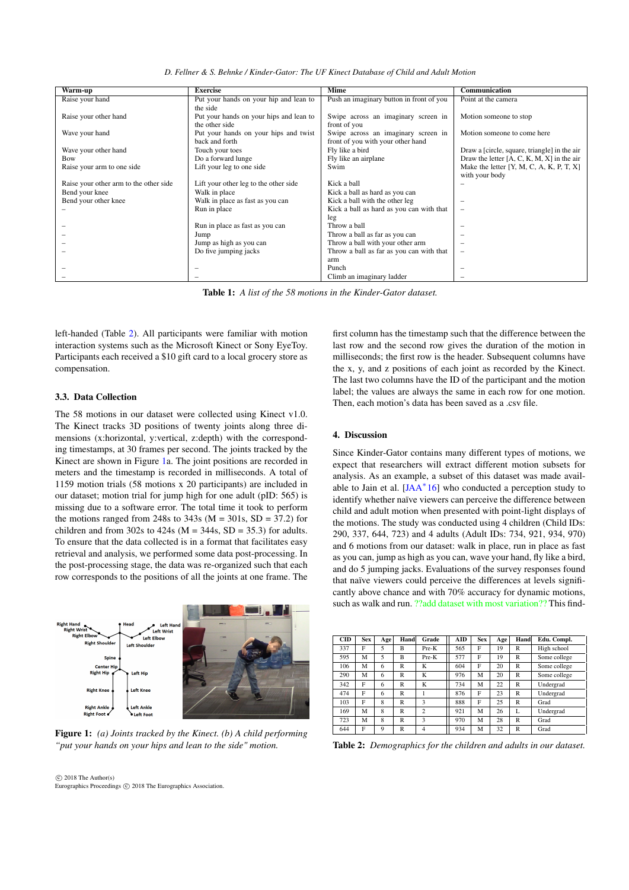*D. Fellner & S. Behnke / Kinder-Gator: The UF Kinect Database of Child and Adult Motion*

<span id="page-2-3"></span>

|                                        | <b>Exercise</b>                         | Mime                                     | Communication                                |
|----------------------------------------|-----------------------------------------|------------------------------------------|----------------------------------------------|
| Warm-up                                |                                         |                                          |                                              |
| Raise your hand                        | Put your hands on your hip and lean to  | Push an imaginary button in front of you | Point at the camera                          |
|                                        | the side                                |                                          |                                              |
| Raise your other hand                  | Put your hands on your hips and lean to | Swipe across an imaginary screen in      | Motion someone to stop                       |
|                                        | the other side                          | front of you                             |                                              |
| Wave your hand                         | Put your hands on your hips and twist   | Swipe across an imaginary screen in      | Motion someone to come here                  |
|                                        | back and forth                          | front of you with your other hand        |                                              |
| Wave your other hand                   | Touch your toes                         | Fly like a bird                          | Draw a [circle, square, triangle] in the air |
| Bow                                    | Do a forward lunge                      | Fly like an airplane                     | Draw the letter $[A, C, K, M, X]$ in the air |
| Raise your arm to one side             | Lift your leg to one side               | Swim                                     | Make the letter $[Y, M, C, A, K, P, T, X]$   |
|                                        |                                         |                                          | with your body                               |
| Raise your other arm to the other side | Lift your other leg to the other side   | Kick a ball                              |                                              |
| Bend your knee                         | Walk in place                           | Kick a ball as hard as you can           |                                              |
| Bend your other knee                   | Walk in place as fast as you can        | Kick a ball with the other leg           |                                              |
|                                        | Run in place                            | Kick a ball as hard as you can with that | $\overline{\phantom{a}}$                     |
|                                        |                                         | leg                                      |                                              |
|                                        | Run in place as fast as you can         | Throw a ball                             |                                              |
|                                        | Jump                                    | Throw a ball as far as you can           |                                              |
|                                        | Jump as high as you can                 | Throw a ball with your other arm         |                                              |
|                                        | Do five jumping jacks                   | Throw a ball as far as you can with that | -                                            |
|                                        |                                         | arm                                      |                                              |
|                                        |                                         | Punch                                    |                                              |
|                                        |                                         | Climb an imaginary ladder                |                                              |

<span id="page-2-0"></span>Table 1: *A list of the 58 motions in the Kinder-Gator dataset.*

left-handed (Table [2\)](#page-2-1). All participants were familiar with motion interaction systems such as the Microsoft Kinect or Sony EyeToy. Participants each received a \$10 gift card to a local grocery store as compensation.

#### 3.3. Data Collection

The 58 motions in our dataset were collected using Kinect v1.0. The Kinect tracks 3D positions of twenty joints along three dimensions (x:horizontal, y:vertical, z:depth) with the corresponding timestamps, at 30 frames per second. The joints tracked by the Kinect are shown in Figure [1a](#page-2-2). The joint positions are recorded in meters and the timestamp is recorded in milliseconds. A total of 1159 motion trials (58 motions x 20 participants) are included in our dataset; motion trial for jump high for one adult (pID: 565) is missing due to a software error. The total time it took to perform the motions ranged from 248s to  $343s$  (M = 301s, SD = 37.2) for children and from 302s to 424s ( $M = 344s$ ,  $SD = 35.3$ ) for adults. To ensure that the data collected is in a format that facilitates easy retrieval and analysis, we performed some data post-processing. In the post-processing stage, the data was re-organized such that each row corresponds to the positions of all the joints at one frame. The



<span id="page-2-2"></span>Figure 1: *(a) Joints tracked by the Kinect. (b) A child performing "put your hands on your hips and lean to the side" motion.*

first column has the timestamp such that the difference between the last row and the second row gives the duration of the motion in milliseconds; the first row is the header. Subsequent columns have the x, y, and z positions of each joint as recorded by the Kinect. The last two columns have the ID of the participant and the motion label; the values are always the same in each row for one motion. Then, each motion's data has been saved as a .csv file.

#### 4. Discussion

Since Kinder-Gator contains many different types of motions, we expect that researchers will extract different motion subsets for analysis. As an example, a subset of this dataset was made avail-able to Jain et al. [\[JAA](#page-3-4)<sup>\*</sup>16] who conducted a perception study to identify whether naïve viewers can perceive the difference between child and adult motion when presented with point-light displays of the motions. The study was conducted using 4 children (Child IDs: 290, 337, 644, 723) and 4 adults (Adult IDs: 734, 921, 934, 970) and 6 motions from our dataset: walk in place, run in place as fast as you can, jump as high as you can, wave your hand, fly like a bird, and do 5 jumping jacks. Evaluations of the survey responses found that naïve viewers could perceive the differences at levels significantly above chance and with 70% accuracy for dynamic motions, such as walk and run. ??add dataset with most variation?? This find-

| CID | <b>Sex</b> | Age | Hand         | Grade          | AID | <b>Sex</b> | Age | Hand         | Edu. Compl.  |
|-----|------------|-----|--------------|----------------|-----|------------|-----|--------------|--------------|
| 337 | F          | 5   | B            | $Pre-K$        | 565 | F          | 19  | $\mathsf{R}$ | High school  |
| 595 | M          | 5   | B            | $Pre-K$        | 577 | F          | 19  | $\mathsf{R}$ | Some college |
| 106 | M          | 6   | R            | K              | 604 | F          | 20  | R            | Some college |
| 290 | M          | 6   | $\mathbb{R}$ | K              | 976 | M          | 20  | $\mathsf{R}$ | Some college |
| 342 | F          | 6   | $\mathbb{R}$ | K              | 734 | M          | 22  | $\mathsf{R}$ | Undergrad    |
| 474 | F          | 6   | $\mathbb{R}$ |                | 876 | F          | 23  | $\mathsf{R}$ | Undergrad    |
| 103 | F          | 8   | $\mathbb{R}$ | 3              | 888 | F          | 25  | $\mathsf{R}$ | Grad         |
| 169 | M          | 8   | $\mathbb{R}$ | $\overline{c}$ | 921 | М          | 26  | L            | Undergrad    |
| 723 | M          | 8   | $\mathbb{R}$ | 3              | 970 | M          | 28  | $\mathsf{R}$ | Grad         |
| 644 | F          | 9   | $\mathsf{R}$ | $\overline{4}$ | 934 | M          | 32  | R            | Grad         |

<span id="page-2-1"></span>Table 2: *Demographics for the children and adults in our dataset.*

 $\circ$  2018 The Author(s) Eurographics Proceedings (C) 2018 The Eurographics Association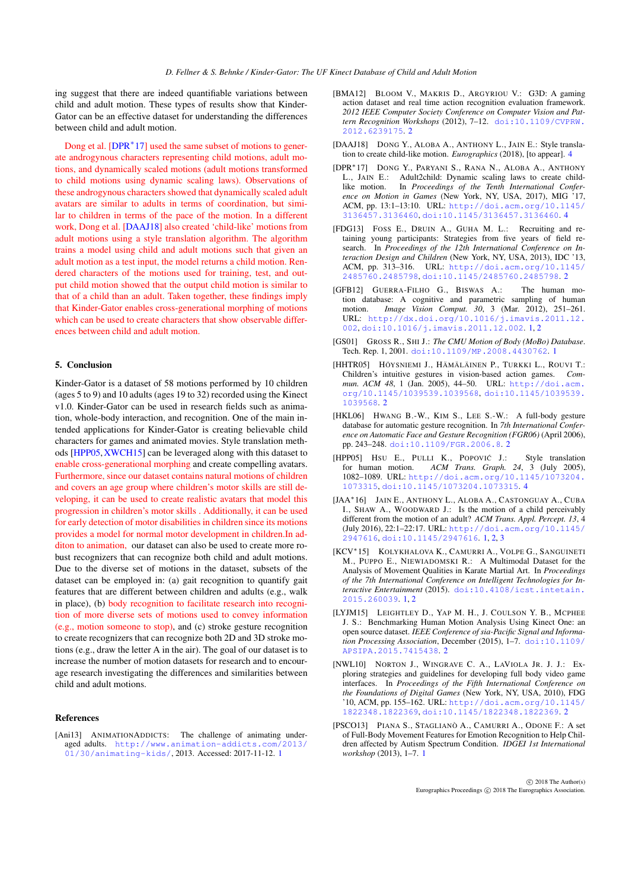<span id="page-3-15"></span>ing suggest that there are indeed quantifiable variations between child and adult motion. These types of results show that Kinder-Gator can be an effective dataset for understanding the differences between child and adult motion.

Dong et al. [\[DPR](#page-3-12)<sup>\*</sup>17] used the same subset of motions to generate androgynous characters representing child motions, adult motions, and dynamically scaled motions (adult motions transformed to child motions using dynamic scaling laws). Observations of these androgynous characters showed that dynamically scaled adult avatars are similar to adults in terms of coordination, but similar to children in terms of the pace of the motion. In a different work, Dong et al. [\[DAAJ18\]](#page-3-13) also created 'child-like' motions from adult motions using a style translation algorithm. The algorithm trains a model using child and adult motions such that given an adult motion as a test input, the model returns a child motion. Rendered characters of the motions used for training, test, and output child motion showed that the output child motion is similar to that of a child than an adult. Taken together, these findings imply that Kinder-Gator enables cross-generational morphing of motions which can be used to create characters that show observable differences between child and adult motion.

### 5. Conclusion

Kinder-Gator is a dataset of 58 motions performed by 10 children (ages 5 to 9) and 10 adults (ages 19 to 32) recorded using the Kinect v1.0. Kinder-Gator can be used in research fields such as animation, whole-body interaction, and recognition. One of the main intended applications for Kinder-Gator is creating believable child characters for games and animated movies. Style translation methods [\[HPP05,](#page-3-14)[XWCH15\]](#page-4-1) can be leveraged along with this dataset to enable cross-generational morphing and create compelling avatars. Furthermore, since our dataset contains natural motions of children and covers an age group where children's motor skills are still developing, it can be used to create realistic avatars that model this progression in children's motor skills . Additionally, it can be used for early detection of motor disabilities in children since its motions provides a model for normal motor development in children.In additon to animation, our dataset can also be used to create more robust recognizers that can recognize both child and adult motions. Due to the diverse set of motions in the dataset, subsets of the dataset can be employed in: (a) gait recognition to quantify gait features that are different between children and adults (e.g., walk in place), (b) body recognition to facilitate research into recognition of more diverse sets of motions used to convey information (e.g., motion someone to stop), and (c) stroke gesture recognition to create recognizers that can recognize both 2D and 3D stroke motions (e.g., draw the letter A in the air). The goal of our dataset is to increase the number of motion datasets for research and to encourage research investigating the differences and similarities between child and adult motions.

#### References

<span id="page-3-2"></span>[Ani13] ANIMATIONADDICTS: The challenge of animating underaged adults. [http://www.animation-addicts.com/2013/]( http://www.animation-addicts.com/2013/01/30/animating-kids/) [01/30/animating-kids/]( http://www.animation-addicts.com/2013/01/30/animating-kids/), 2013. Accessed: 2017-11-12. [1](#page-0-0)

- <span id="page-3-6"></span>[BMA12] BLOOM V., MAKRIS D., ARGYRIOU V.: G3D: A gaming action dataset and real time action recognition evaluation framework. *2012 IEEE Computer Society Conference on Computer Vision and Pattern Recognition Workshops* (2012), 7–12. [doi:10.1109/CVPRW.](http://dx.doi.org/10.1109/CVPRW.2012.6239175) [2012.6239175](http://dx.doi.org/10.1109/CVPRW.2012.6239175). [2](#page-1-0)
- <span id="page-3-13"></span>[DAAJ18] DONG Y., ALOBA A., ANTHONY L., JAIN E.: Style translation to create child-like motion. *Eurographics* (2018), [to appear]. [4](#page-3-15)
- <span id="page-3-12"></span>[DPR∗17] DONG Y., PARYANI S., RANA N., ALOBA A., ANTHONY L., JAIN E.: Adult2child: Dynamic scaling laws to create child-<br>like motion In *Proceedings of the Tenth International Confer-*In *Proceedings of the Tenth International Conference on Motion in Games* (New York, NY, USA, 2017), MIG '17, ACM, pp. 13:1–13:10. URL: [http://doi.acm.org/10.1145/](http://doi.acm.org/10.1145/3136457.3136460) [3136457.3136460](http://doi.acm.org/10.1145/3136457.3136460), [doi:10.1145/3136457.3136460](http://dx.doi.org/10.1145/3136457.3136460). [4](#page-3-15)
- <span id="page-3-8"></span>[FDG13] FOSS E., DRUIN A., GUHA M. L.: Recruiting and retaining young participants: Strategies from five years of field research. In *Proceedings of the 12th International Conference on Interaction Design and Children* (New York, NY, USA, 2013), IDC '13, ACM, pp. 313–316. URL: [http://doi.acm.org/10.1145/](http://doi.acm.org/10.1145/2485760.2485798) [2485760.2485798](http://doi.acm.org/10.1145/2485760.2485798), [doi:10.1145/2485760.2485798](http://dx.doi.org/10.1145/2485760.2485798). [2](#page-1-0)
- <span id="page-3-3"></span>[GFB12] GUERRA-FILHO G., BISWAS A.: The human motion database: A cognitive and parametric sampling of human<br>motion  $Image\text{ Vision}$  Comput 30 3 (Mar 2012) 251–261 motion. *Image Vision Comput. 30*, 3 (Mar. 2012), 251–261. URL: [http://dx.doi.org/10.1016/j.imavis.2011.12.](http://dx.doi.org/10.1016/j.imavis.2011.12.002) [002](http://dx.doi.org/10.1016/j.imavis.2011.12.002), [doi:10.1016/j.imavis.2011.12.002](http://dx.doi.org/10.1016/j.imavis.2011.12.002). [1,](#page-0-0) [2](#page-1-0)
- <span id="page-3-5"></span>[GS01] GROSS R., SHI J.: *The CMU Motion of Body (MoBo) Database*. Tech. Rep. 1, 2001. [doi:10.1109/MP.2008.4430762](http://dx.doi.org/10.1109/MP.2008.4430762). [1](#page-0-0)
- <span id="page-3-9"></span>[HHTR05] HÖYSNIEMI J., HÄMÄLÄINEN P., TURKKI L., ROUVI T.: Children's intuitive gestures in vision-based action games. *Commun. ACM 48*, 1 (Jan. 2005), 44–50. URL: [http://doi.acm.](http://doi.acm.org/10.1145/1039539.1039568) [org/10.1145/1039539.1039568](http://doi.acm.org/10.1145/1039539.1039568), [doi:10.1145/1039539.](http://dx.doi.org/10.1145/1039539.1039568) [1039568](http://dx.doi.org/10.1145/1039539.1039568). [2](#page-1-0)
- <span id="page-3-10"></span>[HKL06] HWANG B.-W., KIM S., LEE S.-W.: A full-body gesture database for automatic gesture recognition. In *7th International Conference on Automatic Face and Gesture Recognition (FGR06)* (April 2006), pp. 243–248. [doi:10.1109/FGR.2006.8](http://dx.doi.org/10.1109/FGR.2006.8). [2](#page-1-0)
- <span id="page-3-14"></span>[HPP05] Hsu E., PULLI K., POPOVIĆ J.: Style translation for human motion. *ACM Trans. Graph. 24*, 3 (July 2005), 1082–1089. URL: [http://doi.acm.org/10.1145/1073204.](http://doi.acm.org/10.1145/1073204.1073315) [1073315](http://doi.acm.org/10.1145/1073204.1073315), [doi:10.1145/1073204.1073315](http://dx.doi.org/10.1145/1073204.1073315). [4](#page-3-15)
- <span id="page-3-4"></span>[JAA∗16] JAIN E., ANTHONY L., ALOBA A., CASTONGUAY A., CUBA I., SHAW A., WOODWARD J.: Is the motion of a child perceivably different from the motion of an adult? *ACM Trans. Appl. Percept. 13*, 4 (July 2016), 22:1–22:17. URL: [http://doi.acm.org/10.1145/](http://doi.acm.org/10.1145/2947616) [2947616](http://doi.acm.org/10.1145/2947616), [doi:10.1145/2947616](http://dx.doi.org/10.1145/2947616). [1,](#page-0-0) [2,](#page-1-0) [3](#page-2-3)
- <span id="page-3-0"></span>[KCV∗15] KOLYKHALOVA K., CAMURRI A., VOLPE G., SANGUINETI M., PUPPO E., NIEWIADOMSKI R.: A Multimodal Dataset for the Analysis of Movement Qualities in Karate Martial Art. In *Proceedings of the 7th International Conference on Intelligent Technologies for Interactive Entertainment* (2015). [doi:10.4108/icst.intetain.](http://dx.doi.org/10.4108/icst.intetain.2015.260039) [2015.260039](http://dx.doi.org/10.4108/icst.intetain.2015.260039). [1,](#page-0-0) [2](#page-1-0)
- <span id="page-3-7"></span>[LYJM15] LEIGHTLEY D., YAP M. H., J. COULSON Y. B., MCPHEE J. S.: Benchmarking Human Motion Analysis Using Kinect One: an open source dataset. *IEEE Conference of sia-Pacific Signal and Information Processing Association*, December (2015), 1–7. [doi:10.1109/](http://dx.doi.org/10.1109/APSIPA.2015.7415438) [APSIPA.2015.7415438](http://dx.doi.org/10.1109/APSIPA.2015.7415438). [2](#page-1-0)
- <span id="page-3-11"></span>[NWL10] NORTON J., WINGRAVE C. A., LAVIOLA JR. J. J.: Exploring strategies and guidelines for developing full body video game interfaces. In *Proceedings of the Fifth International Conference on the Foundations of Digital Games* (New York, NY, USA, 2010), FDG '10, ACM, pp. 155–162. URL: [http://doi.acm.org/10.1145/](http://doi.acm.org/10.1145/1822348.1822369) [1822348.1822369](http://doi.acm.org/10.1145/1822348.1822369), [doi:10.1145/1822348.1822369](http://dx.doi.org/10.1145/1822348.1822369). [2](#page-1-0)
- <span id="page-3-1"></span>[PSCO13] PIANA S., STAGLIANÒ A., CAMURRI A., ODONE F.: A set of Full-Body Movement Features for Emotion Recognition to Help Children affected by Autism Spectrum Condition. *IDGEI 1st International workshop* (2013), 1–7. [1](#page-0-0)